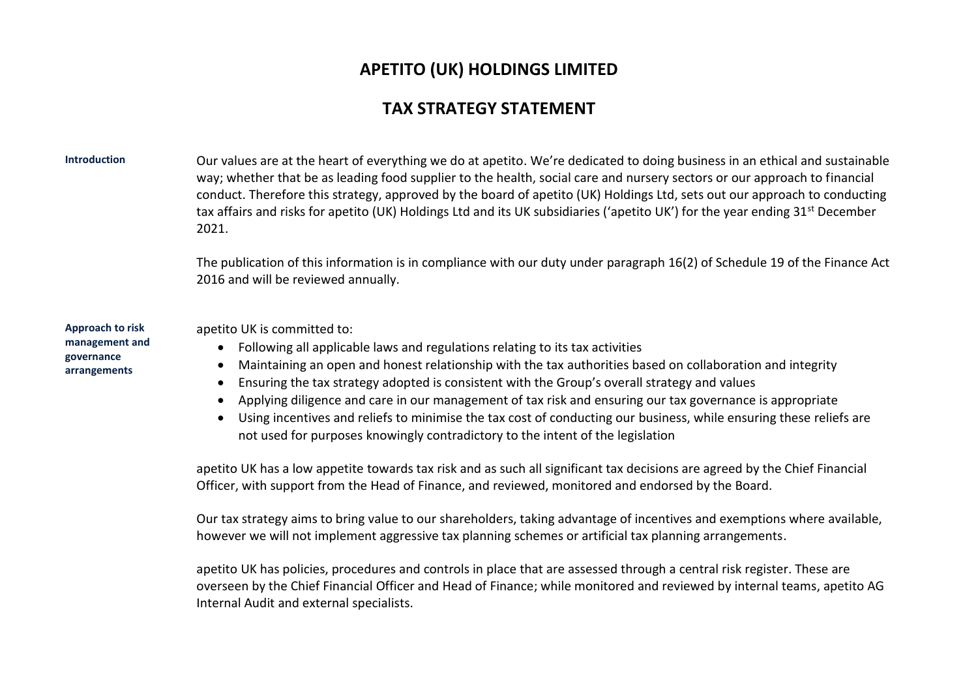## **APETITO (UK) HOLDINGS LIMITED**

## **TAX STRATEGY STATEMENT**

**Introduction** Our values are at the heart of everything we do at apetito. We're dedicated to doing business in an ethical and sustainable way; whether that be as leading food supplier to the health, social care and nursery sectors or our approach to financial conduct. Therefore this strategy, approved by the board of apetito (UK) Holdings Ltd, sets out our approach to conducting tax affairs and risks for apetito (UK) Holdings Ltd and its UK subsidiaries ('apetito UK') for the year ending 31<sup>st</sup> December 2021.

> The publication of this information is in compliance with our duty under paragraph 16(2) of Schedule 19 of the Finance Act 2016 and will be reviewed annually.

**Approach to risk management and governance arrangements**

apetito UK is committed to:

- Following all applicable laws and regulations relating to its tax activities
- Maintaining an open and honest relationship with the tax authorities based on collaboration and integrity
- Ensuring the tax strategy adopted is consistent with the Group's overall strategy and values
- Applying diligence and care in our management of tax risk and ensuring our tax governance is appropriate
- Using incentives and reliefs to minimise the tax cost of conducting our business, while ensuring these reliefs are not used for purposes knowingly contradictory to the intent of the legislation

apetito UK has a low appetite towards tax risk and as such all significant tax decisions are agreed by the Chief Financial Officer, with support from the Head of Finance, and reviewed, monitored and endorsed by the Board.

Our tax strategy aims to bring value to our shareholders, taking advantage of incentives and exemptions where available, however we will not implement aggressive tax planning schemes or artificial tax planning arrangements.

apetito UK has policies, procedures and controls in place that are assessed through a central risk register. These are overseen by the Chief Financial Officer and Head of Finance; while monitored and reviewed by internal teams, apetito AG Internal Audit and external specialists.